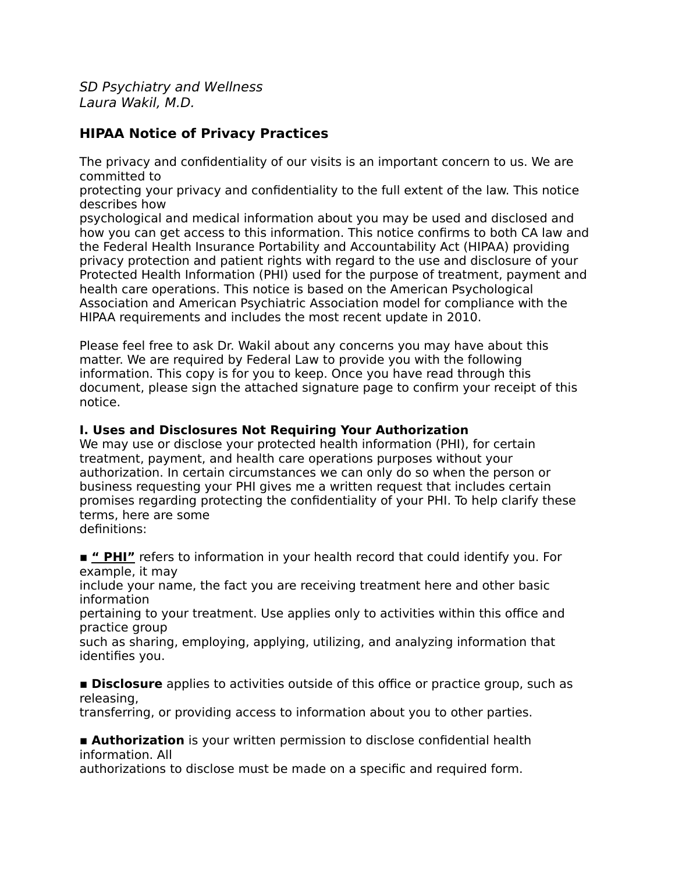SD Psychiatry and Wellness Laura Wakil, M.D.

## **HIPAA Notice of Privacy Practices**

The privacy and confidentiality of our visits is an important concern to us. We are committed to

protecting your privacy and confidentiality to the full extent of the law. This notice describes how

psychological and medical information about you may be used and disclosed and how you can get access to this information. This notice confirms to both CA law and the Federal Health Insurance Portability and Accountability Act (HIPAA) providing privacy protection and patient rights with regard to the use and disclosure of your Protected Health Information (PHI) used for the purpose of treatment, payment and health care operations. This notice is based on the American Psychological Association and American Psychiatric Association model for compliance with the HIPAA requirements and includes the most recent update in 2010.

Please feel free to ask Dr. Wakil about any concerns you may have about this matter. We are required by Federal Law to provide you with the following information. This copy is for you to keep. Once you have read through this document, please sign the attached signature page to confirm your receipt of this notice.

#### **I. Uses and Disclosures Not Requiring Your Authorization**

We may use or disclose your protected health information (PHI), for certain treatment, payment, and health care operations purposes without your authorization. In certain circumstances we can only do so when the person or business requesting your PHI gives me a written request that includes certain promises regarding protecting the confidentiality of your PHI. To help clarify these terms, here are some

definitions:

■ " PHI" refers to information in your health record that could identify you. For example, it may

include your name, the fact you are receiving treatment here and other basic information

pertaining to your treatment. Use applies only to activities within this office and practice group

such as sharing, employing, applying, utilizing, and analyzing information that identifies you.

**EXTERGEDED IS Disclosure** applies to activities outside of this office or practice group, such as releasing,

transferring, or providing access to information about you to other parties.

**E** Authorization is your written permission to disclose confidential health information. All

authorizations to disclose must be made on a specific and required form.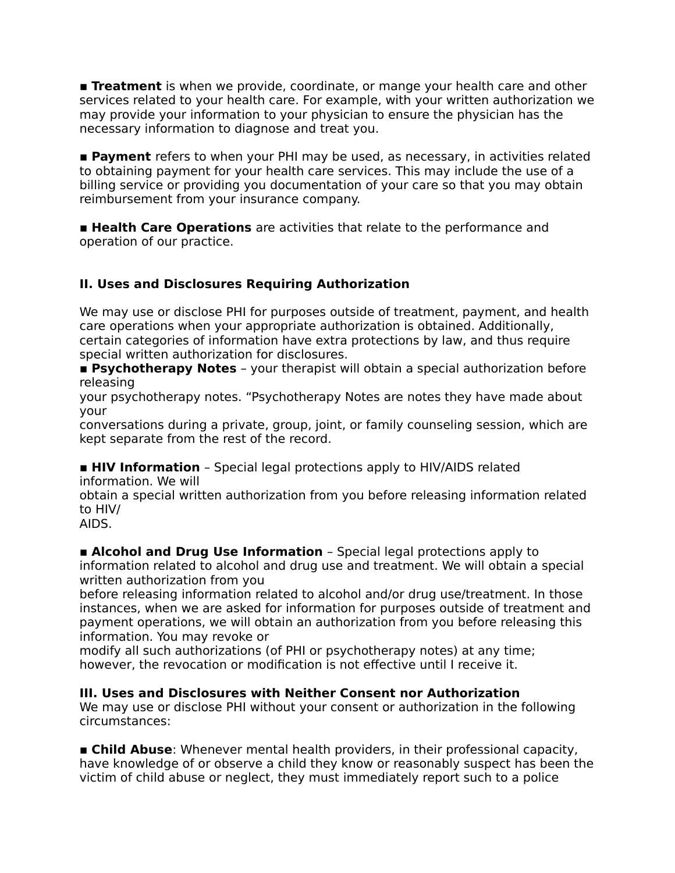**Treatment** is when we provide, coordinate, or mange your health care and other services related to your health care. For example, with your written authorization we may provide your information to your physician to ensure the physician has the necessary information to diagnose and treat you.

**Payment** refers to when your PHI may be used, as necessary, in activities related to obtaining payment for your health care services. This may include the use of a billing service or providing you documentation of your care so that you may obtain reimbursement from your insurance company.

**Example Health Care Operations** are activities that relate to the performance and operation of our practice.

## **II. Uses and Disclosures Requiring Authorization**

We may use or disclose PHI for purposes outside of treatment, payment, and health care operations when your appropriate authorization is obtained. Additionally, certain categories of information have extra protections by law, and thus require special written authorization for disclosures.

**Executive Psychotherapy Notes** – your therapist will obtain a special authorization before releasing

your psychotherapy notes. "Psychotherapy Notes are notes they have made about your

conversations during a private, group, joint, or family counseling session, which are kept separate from the rest of the record.

**HIV Information** - Special legal protections apply to HIV/AIDS related information. We will

obtain a special written authorization from you before releasing information related to HIV/

AIDS.

**Example 2 Alcohol and Drug Use Information** - Special legal protections apply to information related to alcohol and drug use and treatment. We will obtain a special written authorization from you

before releasing information related to alcohol and/or drug use/treatment. In those instances, when we are asked for information for purposes outside of treatment and payment operations, we will obtain an authorization from you before releasing this information. You may revoke or

modify all such authorizations (of PHI or psychotherapy notes) at any time; however, the revocation or modification is not effective until I receive it.

#### **III. Uses and Disclosures with Neither Consent nor Authorization**

We may use or disclose PHI without your consent or authorization in the following circumstances:

**Example Abuse:** Whenever mental health providers, in their professional capacity, have knowledge of or observe a child they know or reasonably suspect has been the victim of child abuse or neglect, they must immediately report such to a police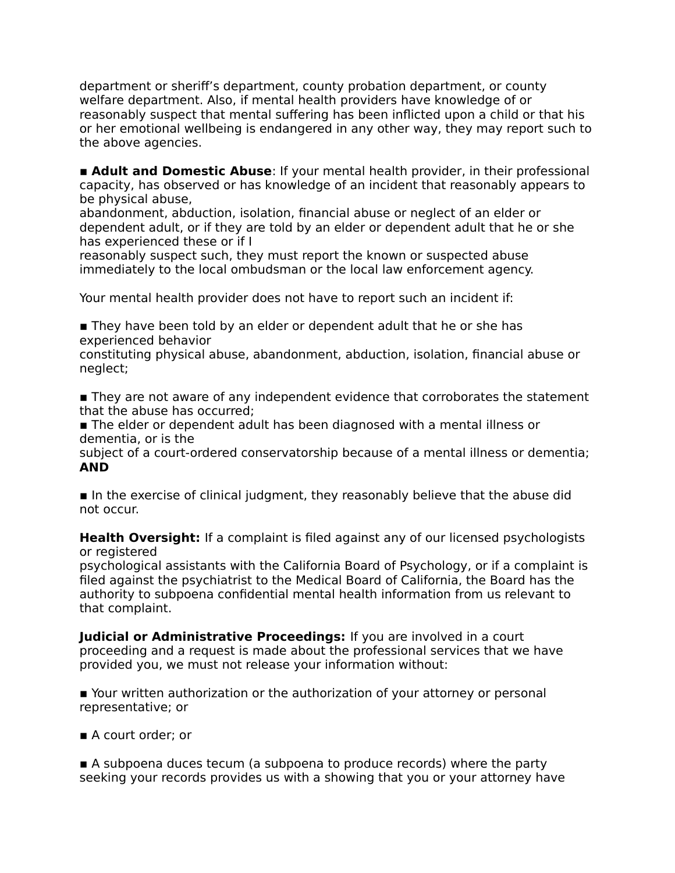department or sheriff's department, county probation department, or county welfare department. Also, if mental health providers have knowledge of or reasonably suspect that mental suffering has been inflicted upon a child or that his or her emotional wellbeing is endangered in any other way, they may report such to the above agencies.

**Example 2 Adult and Domestic Abuse:** If your mental health provider, in their professional capacity, has observed or has knowledge of an incident that reasonably appears to be physical abuse,

abandonment, abduction, isolation, financial abuse or neglect of an elder or dependent adult, or if they are told by an elder or dependent adult that he or she has experienced these or if I

reasonably suspect such, they must report the known or suspected abuse immediately to the local ombudsman or the local law enforcement agency.

Your mental health provider does not have to report such an incident if:

■ They have been told by an elder or dependent adult that he or she has experienced behavior

constituting physical abuse, abandonment, abduction, isolation, financial abuse or neglect;

**If They are not aware of any independent evidence that corroborates the statement** that the abuse has occurred;

**The elder or dependent adult has been diagnosed with a mental illness or** dementia, or is the

subject of a court-ordered conservatorship because of a mental illness or dementia; **AND**

■ In the exercise of clinical judgment, they reasonably believe that the abuse did not occur.

**Health Oversight:** If a complaint is filed against any of our licensed psychologists or registered

psychological assistants with the California Board of Psychology, or if a complaint is filed against the psychiatrist to the Medical Board of California, the Board has the authority to subpoena confidential mental health information from us relevant to that complaint.

**Judicial or Administrative Proceedings:** If you are involved in a court proceeding and a request is made about the professional services that we have provided you, we must not release your information without:

**E** Your written authorization or the authorization of your attorney or personal representative; or

■ A court order; or

■ A subpoena duces tecum (a subpoena to produce records) where the party seeking your records provides us with a showing that you or your attorney have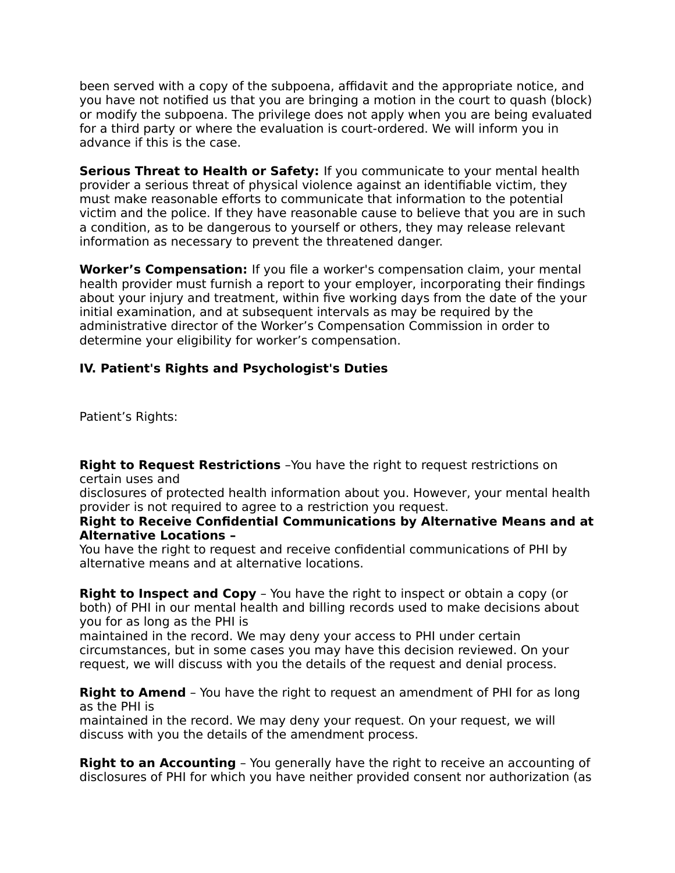been served with a copy of the subpoena, affidavit and the appropriate notice, and you have not notified us that you are bringing a motion in the court to quash (block) or modify the subpoena. The privilege does not apply when you are being evaluated for a third party or where the evaluation is court-ordered. We will inform you in advance if this is the case.

**Serious Threat to Health or Safety:** If you communicate to your mental health provider a serious threat of physical violence against an identifiable victim, they must make reasonable efforts to communicate that information to the potential victim and the police. If they have reasonable cause to believe that you are in such a condition, as to be dangerous to yourself or others, they may release relevant information as necessary to prevent the threatened danger.

**Worker's Compensation:** If you file a worker's compensation claim, your mental health provider must furnish a report to your employer, incorporating their findings about your injury and treatment, within five working days from the date of the your initial examination, and at subsequent intervals as may be required by the administrative director of the Worker's Compensation Commission in order to determine your eligibility for worker's compensation.

## **IV. Patient's Rights and Psychologist's Duties**

Patient's Rights:

**Right to Request Restrictions** -You have the right to request restrictions on certain uses and

disclosures of protected health information about you. However, your mental health provider is not required to agree to a restriction you request.

#### **Right to Receive Confidential Communications by Alternative Means and at Alternative Locations –**

You have the right to request and receive confidential communications of PHI by alternative means and at alternative locations.

**Right to Inspect and Copy** - You have the right to inspect or obtain a copy (or both) of PHI in our mental health and billing records used to make decisions about you for as long as the PHI is

maintained in the record. We may deny your access to PHI under certain circumstances, but in some cases you may have this decision reviewed. On your request, we will discuss with you the details of the request and denial process.

**Right to Amend** - You have the right to request an amendment of PHI for as long as the PHI is

maintained in the record. We may deny your request. On your request, we will discuss with you the details of the amendment process.

**Right to an Accounting** - You generally have the right to receive an accounting of disclosures of PHI for which you have neither provided consent nor authorization (as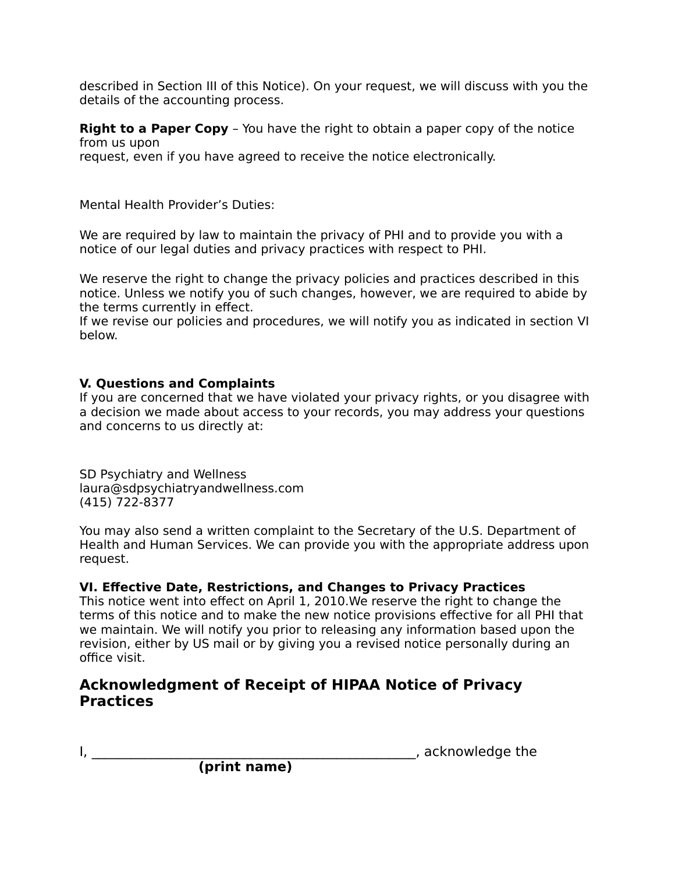described in Section III of this Notice). On your request, we will discuss with you the details of the accounting process.

**Right to a Paper Copy** - You have the right to obtain a paper copy of the notice from us upon request, even if you have agreed to receive the notice electronically.

Mental Health Provider's Duties:

We are required by law to maintain the privacy of PHI and to provide you with a notice of our legal duties and privacy practices with respect to PHI.

We reserve the right to change the privacy policies and practices described in this notice. Unless we notify you of such changes, however, we are required to abide by the terms currently in effect.

If we revise our policies and procedures, we will notify you as indicated in section VI below.

## **V. Questions and Complaints**

If you are concerned that we have violated your privacy rights, or you disagree with a decision we made about access to your records, you may address your questions and concerns to us directly at:

SD Psychiatry and Wellness laura@sdpsychiatryandwellness.com (415) 722-8377

You may also send a written complaint to the Secretary of the U.S. Department of Health and Human Services. We can provide you with the appropriate address upon request.

## **VI. Effective Date, Restrictions, and Changes to Privacy Practices**

This notice went into effect on April 1, 2010.We reserve the right to change the terms of this notice and to make the new notice provisions effective for all PHI that we maintain. We will notify you prior to releasing any information based upon the revision, either by US mail or by giving you a revised notice personally during an office visit.

# **Acknowledgment of Receipt of HIPAA Notice of Privacy Practices**

I, \_\_\_\_\_\_\_\_\_\_\_\_\_\_\_\_\_\_\_\_\_\_\_\_\_\_\_\_\_\_\_\_\_\_\_\_\_\_\_\_\_\_\_\_\_\_\_\_\_, acknowledge the

**(print name)**